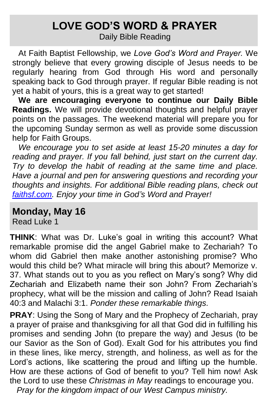### **LOVE GOD'S WORD & PRAYER**

Daily Bible Reading

At Faith Baptist Fellowship, we *Love God's Word and Prayer.* We strongly believe that every growing disciple of Jesus needs to be regularly hearing from God through His word and personally speaking back to God through prayer. If regular Bible reading is not yet a habit of yours, this is a great way to get started!

**We are encouraging everyone to continue our Daily Bible Readings.** We will provide devotional thoughts and helpful prayer points on the passages. The weekend material will prepare you for the upcoming Sunday sermon as well as provide some discussion help for Faith Groups.

*We encourage you to set aside at least 15-20 minutes a day for reading and prayer. If you fall behind, just start on the current day. Try to develop the habit of reading at the same time and place. Have a journal and pen for answering questions and recording your thoughts and insights. For additional Bible reading plans, check out [faithsf.com.](http://www.faithsf.com/) Enjoy your time in God's Word and Prayer!*

#### **Monday, May 16**

Read Luke 1

**THINK**: What was Dr. Luke's goal in writing this account? What remarkable promise did the angel Gabriel make to Zechariah? To whom did Gabriel then make another astonishing promise? Who would this child be? What miracle will bring this about? Memorize v. 37. What stands out to you as you reflect on Mary's song? Why did Zechariah and Elizabeth name their son John? From Zechariah's prophecy, what will be the mission and calling of John? Read Isaiah 40:3 and Malachi 3:1. *Ponder these remarkable things.* 

**PRAY**: Using the Song of Mary and the Prophecy of Zechariah, pray a prayer of praise and thanksgiving for all that God did in fulfilling his promises and sending John (to prepare the way) and Jesus (to be our Savior as the Son of God). Exalt God for his attributes you find in these lines, like mercy, strength, and holiness, as well as for the Lord's actions, like scattering the proud and lifting up the humble. How are these actions of God of benefit to you? Tell him now! Ask the Lord to use these *Christmas in May* readings to encourage you. *Pray for the kingdom impact of our West Campus ministry.*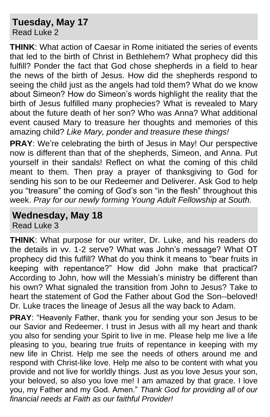### **Tuesday, May 17**

Read Luke 2

**THINK**: What action of Caesar in Rome initiated the series of events that led to the birth of Christ in Bethlehem? What prophecy did this fulfill? Ponder the fact that God chose shepherds in a field to hear the news of the birth of Jesus. How did the shepherds respond to seeing the child just as the angels had told them? What do we know about Simeon? How do Simeon's words highlight the reality that the birth of Jesus fulfilled many prophecies? What is revealed to Mary about the future death of her son? Who was Anna? What additional event caused Mary to treasure her thoughts and memories of this amazing child? *Like Mary, ponder and treasure these things!*

**PRAY**: We're celebrating the birth of Jesus in May! Our perspective now is different than that of the shepherds, Simeon, and Anna. Put yourself in their sandals! Reflect on what the coming of this child meant to them. Then pray a prayer of thanksgiving to God for sending his son to be our Redeemer and Deliverer. Ask God to help you "treasure" the coming of God's son "in the flesh" throughout this week. *Pray for our newly forming Young Adult Fellowship at South.*

#### **Wednesday, May 18**

Read Luke 3

**THINK**: What purpose for our writer, Dr. Luke, and his readers do the details in vv. 1-2 serve? What was John's message? What OT prophecy did this fulfill? What do you think it means to "bear fruits in keeping with repentance?" How did John make that practical? According to John, how will the Messiah's ministry be different than his own? What signaled the transition from John to Jesus? Take to heart the statement of God the Father about God the Son--beloved! Dr. Luke traces the lineage of Jesus all the way back to Adam.

**PRAY**: "Heavenly Father, thank you for sending your son Jesus to be our Savior and Redeemer. I trust in Jesus with all my heart and thank you also for sending your Spirit to live in me. Please help me live a life pleasing to you, bearing true fruits of repentance in keeping with my new life in Christ. Help me see the needs of others around me and respond with Christ-like love. Help me also to be content with what you provide and not live for worldly things. Just as you love Jesus your son, your beloved, so also you love me! I am amazed by that grace. I love you, my Father and my God. Amen." *Thank God for providing all of our financial needs at Faith as our faithful Provider!*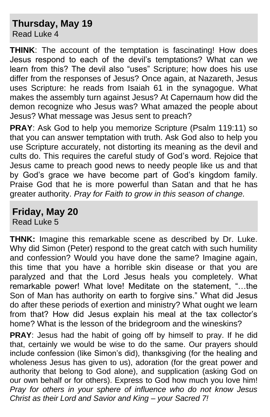## **Thursday, May 19**

Read Luke 4

**THINK**: The account of the temptation is fascinating! How does Jesus respond to each of the devil's temptations? What can we learn from this? The devil also "uses" Scripture; how does his use differ from the responses of Jesus? Once again, at Nazareth, Jesus uses Scripture: he reads from Isaiah 61 in the synagogue. What makes the assembly turn against Jesus? At Capernaum how did the demon recognize who Jesus was? What amazed the people about Jesus? What message was Jesus sent to preach?

**PRAY**: Ask God to help you memorize Scripture (Psalm 119:11) so that you can answer temptation with truth. Ask God also to help you use Scripture accurately, not distorting its meaning as the devil and cults do. This requires the careful study of God's word. Rejoice that Jesus came to preach good news to needy people like us and that by God's grace we have become part of God's kingdom family. Praise God that he is more powerful than Satan and that he has greater authority. *Pray for Faith to grow in this season of change.*

#### **Friday, May 20** Read Luke 5

**THNK:** Imagine this remarkable scene as described by Dr. Luke. Why did Simon (Peter) respond to the great catch with such humility and confession? Would you have done the same? Imagine again, this time that you have a horrible skin disease or that you are paralyzed and that the Lord Jesus heals you completely. What remarkable power! What love! Meditate on the statement, "…the Son of Man has authority on earth to forgive sins." What did Jesus do after these periods of exertion and ministry? What ought we learn from that? How did Jesus explain his meal at the tax collector's home? What is the lesson of the bridegroom and the wineskins?

**PRAY**: Jesus had the habit of going off by himself to pray. If he did that, certainly we would be wise to do the same. Our prayers should include confession (like Simon's did), thanksgiving (for the healing and wholeness Jesus has given to us), adoration (for the great power and authority that belong to God alone), and supplication (asking God on our own behalf or for others). Express to God how much you love him! *Pray for others in your sphere of influence who do not know Jesus Christ as their Lord and Savior and King – your Sacred 7!*